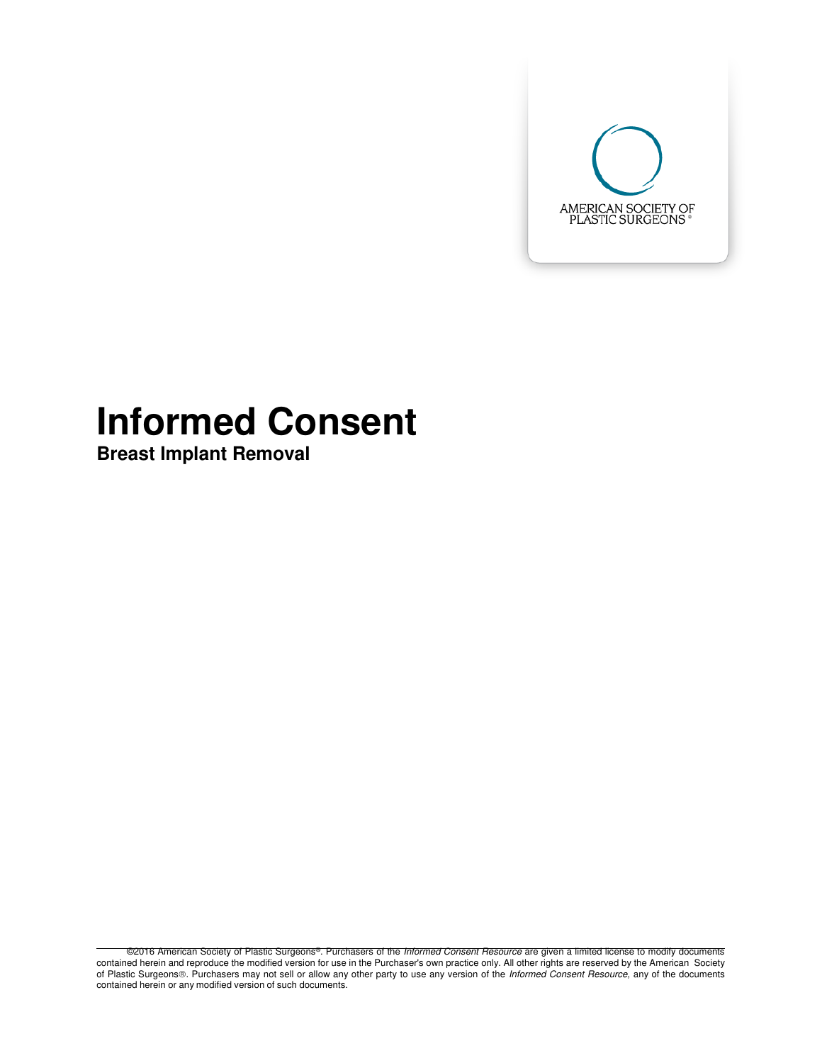

# **Informed Consent**

**Breast Implant Removal** 

©2016 American Society of Plastic Surgeons®. Purchasers of the Informed Consent Resource are given a limited license to modify documents contained herein and reproduce the modified version for use in the Purchaser's own practice only. All other rights are reserved by the American Society of Plastic Surgeons®. Purchasers may not sell or allow any other party to use any version of the Informed Consent Resource, any of the documents contained herein or any modified version of such documents.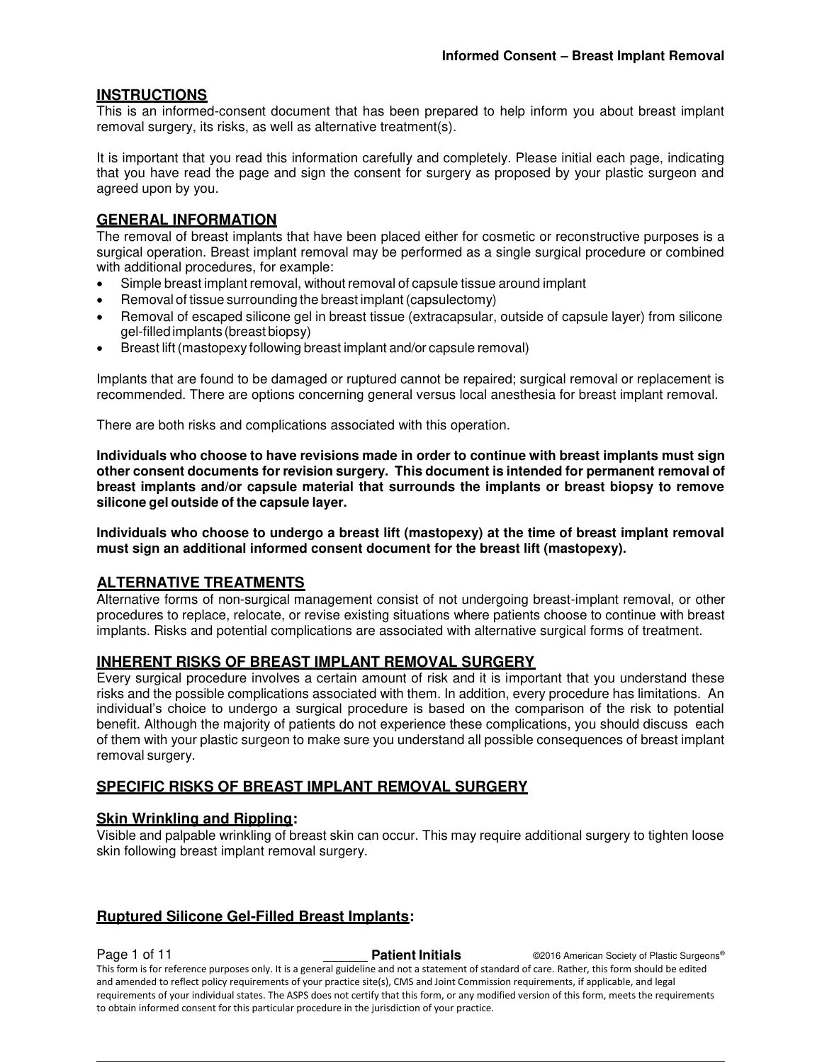# **INSTRUCTIONS**

This is an informed-consent document that has been prepared to help inform you about breast implant removal surgery, its risks, as well as alternative treatment(s).

It is important that you read this information carefully and completely. Please initial each page, indicating that you have read the page and sign the consent for surgery as proposed by your plastic surgeon and agreed upon by you.

# **GENERAL INFORMATION**

The removal of breast implants that have been placed either for cosmetic or reconstructive purposes is a surgical operation. Breast implant removal may be performed as a single surgical procedure or combined with additional procedures, for example:

- Simple breast implant removal, without removal of capsule tissue around implant
- Removal of tissue surrounding the breast implant (capsulectomy)
- Removal of escaped silicone gel in breast tissue (extracapsular, outside of capsule layer) from silicone gel-filled implants (breast biopsy)
- Breast lift (mastopexy following breast implant and/or capsule removal)

Implants that are found to be damaged or ruptured cannot be repaired; surgical removal or replacement is recommended. There are options concerning general versus local anesthesia for breast implant removal.

There are both risks and complications associated with this operation.

**Individuals who choose to have revisions made in order to continue with breast implants must sign other consent documents for revision surgery. This document is intended for permanent removal of breast implants and/or capsule material that surrounds the implants or breast biopsy to remove silicone gel outside of the capsule layer.** 

**Individuals who choose to undergo a breast lift (mastopexy) at the time of breast implant removal must sign an additional informed consent document for the breast lift (mastopexy).** 

# **ALTERNATIVE TREATMENTS**

Alternative forms of non-surgical management consist of not undergoing breast-implant removal, or other procedures to replace, relocate, or revise existing situations where patients choose to continue with breast implants. Risks and potential complications are associated with alternative surgical forms of treatment.

#### **INHERENT RISKS OF BREAST IMPLANT REMOVAL SURGERY**

Every surgical procedure involves a certain amount of risk and it is important that you understand these risks and the possible complications associated with them. In addition, every procedure has limitations. An individual's choice to undergo a surgical procedure is based on the comparison of the risk to potential benefit. Although the majority of patients do not experience these complications, you should discuss each of them with your plastic surgeon to make sure you understand all possible consequences of breast implant removal surgery.

# **SPECIFIC RISKS OF BREAST IMPLANT REMOVAL SURGERY**

# **Skin Wrinkling and Rippling:**

Visible and palpable wrinkling of breast skin can occur. This may require additional surgery to tighten loose skin following breast implant removal surgery.

# **Ruptured Silicone Gel-Filled Breast Implants:**

**Page 1 of 11 Patient Initials COVIDENT COVIDENT COVIDENT COVIDENT Patient Initials COVIDENT COVIDENT Patient Initials COVIDENT COVIDENT** This form is for reference purposes only. It is a general guideline and not a statement of standard of care. Rather, this form should be edited and amended to reflect policy requirements of your practice site(s), CMS and Joint Commission requirements, if applicable, and legal requirements of your individual states. The ASPS does not certify that this form, or any modified version of this form, meets the requirements to obtain informed consent for this particular procedure in the jurisdiction of your practice.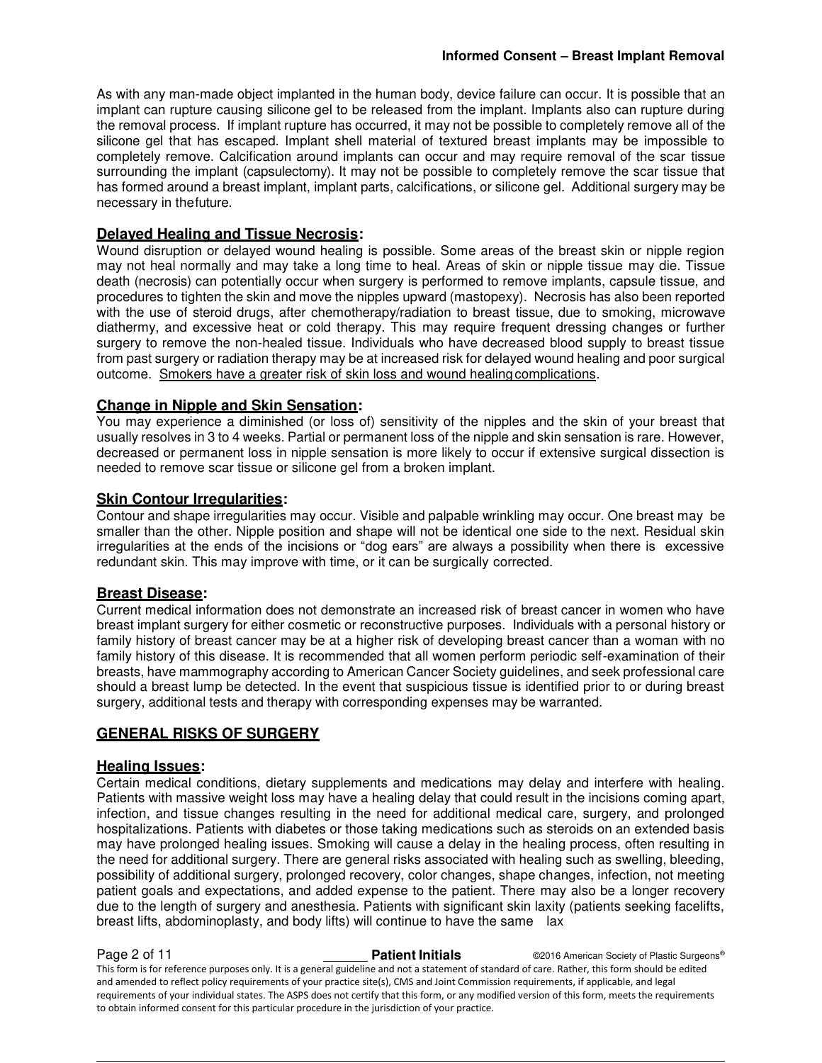As with any man-made object implanted in the human body, device failure can occur. It is possible that an implant can rupture causing silicone gel to be released from the implant. Implants also can rupture during the removal process. If implant rupture has occurred, it may not be possible to completely remove all of the silicone gel that has escaped. Implant shell material of textured breast implants may be impossible to completely remove. Calcification around implants can occur and may require removal of the scar tissue surrounding the implant (capsulectomy). It may not be possible to completely remove the scar tissue that has formed around a breast implant, implant parts, calcifications, or silicone gel. Additional surgery may be necessary in the future.

# **Delayed Healing and Tissue Necrosis:**

Wound disruption or delayed wound healing is possible. Some areas of the breast skin or nipple region may not heal normally and may take a long time to heal. Areas of skin or nipple tissue may die. Tissue death (necrosis) can potentially occur when surgery is performed to remove implants, capsule tissue, and procedures to tighten the skin and move the nipples upward (mastopexy). Necrosis has also been reported with the use of steroid drugs, after chemotherapy/radiation to breast tissue, due to smoking, microwave diathermy, and excessive heat or cold therapy. This may require frequent dressing changes or further surgery to remove the non-healed tissue. Individuals who have decreased blood supply to breast tissue from past surgery or radiation therapy may be at increased risk for delayed wound healing and poor surgical outcome. Smokers have a greater risk of skin loss and wound healing complications.

# **Change in Nipple and Skin Sensation:**

You may experience a diminished (or loss of) sensitivity of the nipples and the skin of your breast that usually resolves in 3 to 4 weeks. Partial or permanent loss of the nipple and skin sensation is rare. However, decreased or permanent loss in nipple sensation is more likely to occur if extensive surgical dissection is needed to remove scar tissue or silicone gel from a broken implant.

#### **Skin Contour Irregularities:**

Contour and shape irregularities may occur. Visible and palpable wrinkling may occur. One breast may be smaller than the other. Nipple position and shape will not be identical one side to the next. Residual skin irregularities at the ends of the incisions or "dog ears" are always a possibility when there is excessive redundant skin. This may improve with time, or it can be surgically corrected.

#### **Breast Disease:**

Current medical information does not demonstrate an increased risk of breast cancer in women who have breast implant surgery for either cosmetic or reconstructive purposes. Individuals with a personal history or family history of breast cancer may be at a higher risk of developing breast cancer than a woman with no family history of this disease. It is recommended that all women perform periodic self-examination of their breasts, have mammography according to American Cancer Society guidelines, and seek professional care should a breast lump be detected. In the event that suspicious tissue is identified prior to or during breast surgery, additional tests and therapy with corresponding expenses may be warranted.

# **GENERAL RISKS OF SURGERY**

#### **Healing Issues:**

Certain medical conditions, dietary supplements and medications may delay and interfere with healing. Patients with massive weight loss may have a healing delay that could result in the incisions coming apart, infection, and tissue changes resulting in the need for additional medical care, surgery, and prolonged hospitalizations. Patients with diabetes or those taking medications such as steroids on an extended basis may have prolonged healing issues. Smoking will cause a delay in the healing process, often resulting in the need for additional surgery. There are general risks associated with healing such as swelling, bleeding, possibility of additional surgery, prolonged recovery, color changes, shape changes, infection, not meeting patient goals and expectations, and added expense to the patient. There may also be a longer recovery due to the length of surgery and anesthesia. Patients with significant skin laxity (patients seeking facelifts, breast lifts, abdominoplasty, and body lifts) will continue to have the same lax

**Page 2 of 11 Patient Initials Patient Initials** ©2016 American Society of Plastic Surgeons® This form is for reference purposes only. It is a general guideline and not a statement of standard of care. Rather, this form should be edited and amended to reflect policy requirements of your practice site(s), CMS and Joint Commission requirements, if applicable, and legal requirements of your individual states. The ASPS does not certify that this form, or any modified version of this form, meets the requirements to obtain informed consent for this particular procedure in the jurisdiction of your practice.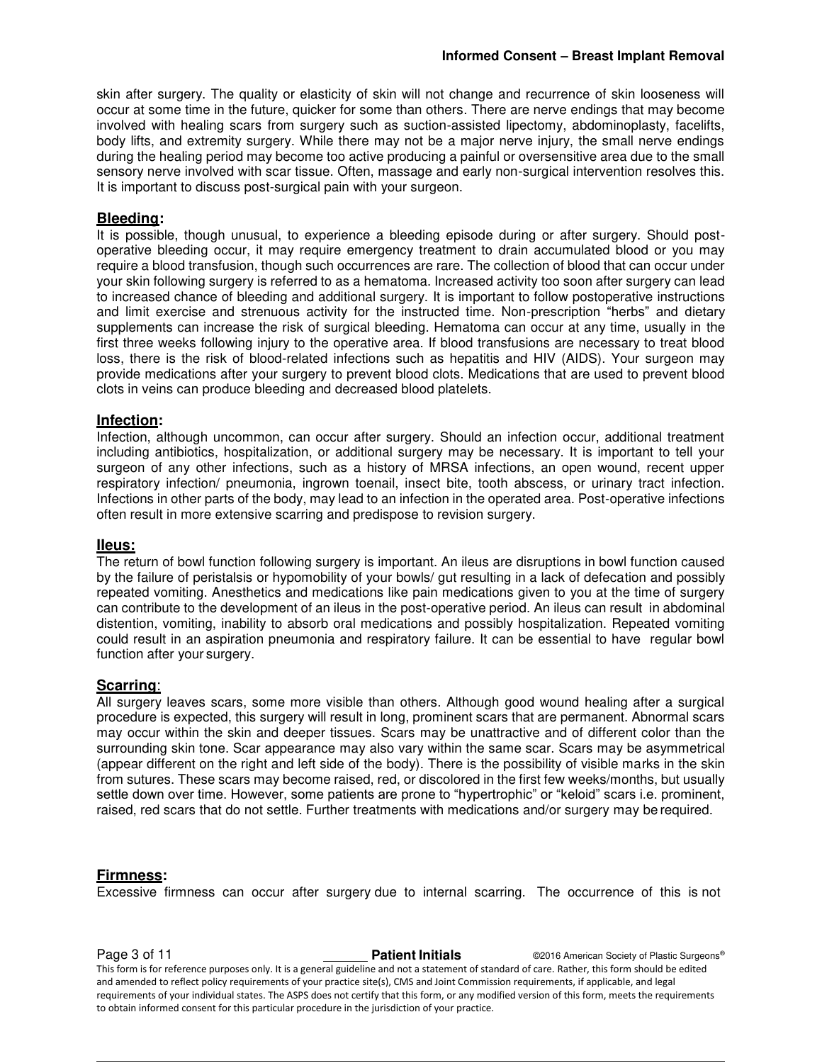skin after surgery. The quality or elasticity of skin will not change and recurrence of skin looseness will occur at some time in the future, quicker for some than others. There are nerve endings that may become involved with healing scars from surgery such as suction-assisted lipectomy, abdominoplasty, facelifts, body lifts, and extremity surgery. While there may not be a major nerve injury, the small nerve endings during the healing period may become too active producing a painful or oversensitive area due to the small sensory nerve involved with scar tissue. Often, massage and early non-surgical intervention resolves this. It is important to discuss post-surgical pain with your surgeon.

#### **Bleeding:**

It is possible, though unusual, to experience a bleeding episode during or after surgery. Should postoperative bleeding occur, it may require emergency treatment to drain accumulated blood or you may require a blood transfusion, though such occurrences are rare. The collection of blood that can occur under your skin following surgery is referred to as a hematoma. Increased activity too soon after surgery can lead to increased chance of bleeding and additional surgery. It is important to follow postoperative instructions and limit exercise and strenuous activity for the instructed time. Non-prescription "herbs" and dietary supplements can increase the risk of surgical bleeding. Hematoma can occur at any time, usually in the first three weeks following injury to the operative area. If blood transfusions are necessary to treat blood loss, there is the risk of blood-related infections such as hepatitis and HIV (AIDS). Your surgeon may provide medications after your surgery to prevent blood clots. Medications that are used to prevent blood clots in veins can produce bleeding and decreased blood platelets.

#### **Infection:**

Infection, although uncommon, can occur after surgery. Should an infection occur, additional treatment including antibiotics, hospitalization, or additional surgery may be necessary. It is important to tell your surgeon of any other infections, such as a history of MRSA infections, an open wound, recent upper respiratory infection/ pneumonia, ingrown toenail, insect bite, tooth abscess, or urinary tract infection. Infections in other parts of the body, may lead to an infection in the operated area. Post-operative infections often result in more extensive scarring and predispose to revision surgery.

#### **IIeus:**

The return of bowl function following surgery is important. An ileus are disruptions in bowl function caused by the failure of peristalsis or hypomobility of your bowls/ gut resulting in a lack of defecation and possibly repeated vomiting. Anesthetics and medications like pain medications given to you at the time of surgery can contribute to the development of an ileus in the post-operative period. An ileus can result in abdominal distention, vomiting, inability to absorb oral medications and possibly hospitalization. Repeated vomiting could result in an aspiration pneumonia and respiratory failure. It can be essential to have regular bowl function after your surgery.

#### **Scarring**:

All surgery leaves scars, some more visible than others. Although good wound healing after a surgical procedure is expected, this surgery will result in long, prominent scars that are permanent. Abnormal scars may occur within the skin and deeper tissues. Scars may be unattractive and of different color than the surrounding skin tone. Scar appearance may also vary within the same scar. Scars may be asymmetrical (appear different on the right and left side of the body). There is the possibility of visible marks in the skin from sutures. These scars may become raised, red, or discolored in the first few weeks/months, but usually settle down over time. However, some patients are prone to "hypertrophic" or "keloid" scars i.e. prominent, raised, red scars that do not settle. Further treatments with medications and/or surgery may be required.

#### **Firmness:**

Excessive firmness can occur after surgery due to internal scarring. The occurrence of this is not

**Page 3 of 11 Patient Initials Patient Initials** ©2016 American Society of Plastic Surgeons® This form is for reference purposes only. It is a general guideline and not a statement of standard of care. Rather, this form should be edited and amended to reflect policy requirements of your practice site(s), CMS and Joint Commission requirements, if applicable, and legal requirements of your individual states. The ASPS does not certify that this form, or any modified version of this form, meets the requirements to obtain informed consent for this particular procedure in the jurisdiction of your practice.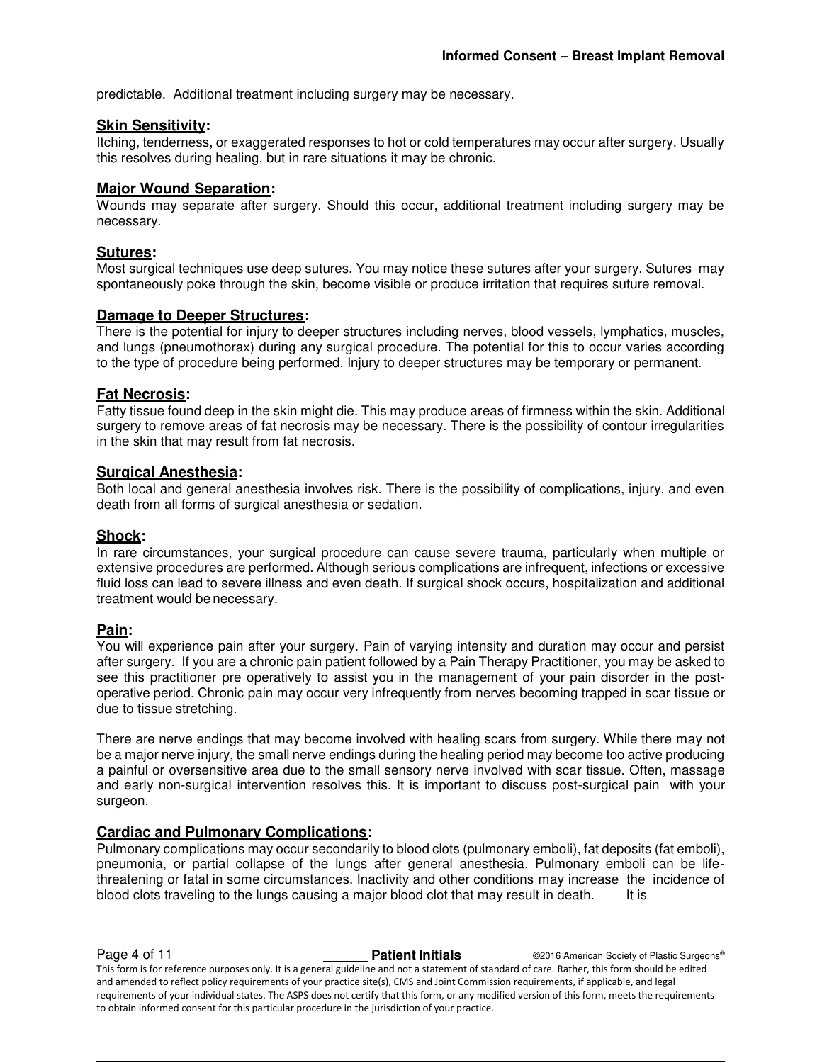predictable. Additional treatment including surgery may be necessary.

#### **Skin Sensitivity:**

Itching, tenderness, or exaggerated responses to hot or cold temperatures may occur after surgery. Usually this resolves during healing, but in rare situations it may be chronic.

#### **Major Wound Separation:**

Wounds may separate after surgery. Should this occur, additional treatment including surgery may be necessary.

#### **Sutures:**

Most surgical techniques use deep sutures. You may notice these sutures after your surgery. Sutures may spontaneously poke through the skin, become visible or produce irritation that requires suture removal.

#### **Damage to Deeper Structures:**

There is the potential for injury to deeper structures including nerves, blood vessels, lymphatics, muscles, and lungs (pneumothorax) during any surgical procedure. The potential for this to occur varies according to the type of procedure being performed. Injury to deeper structures may be temporary or permanent.

#### **Fat Necrosis:**

Fatty tissue found deep in the skin might die. This may produce areas of firmness within the skin. Additional surgery to remove areas of fat necrosis may be necessary. There is the possibility of contour irregularities in the skin that may result from fat necrosis.

#### **Surgical Anesthesia:**

Both local and general anesthesia involves risk. There is the possibility of complications, injury, and even death from all forms of surgical anesthesia or sedation.

#### **Shock:**

In rare circumstances, your surgical procedure can cause severe trauma, particularly when multiple or extensive procedures are performed. Although serious complications are infrequent, infections or excessive fluid loss can lead to severe illness and even death. If surgical shock occurs, hospitalization and additional treatment would be necessary.

#### **Pain:**

You will experience pain after your surgery. Pain of varying intensity and duration may occur and persist after surgery. If you are a chronic pain patient followed by a Pain Therapy Practitioner, you may be asked to see this practitioner pre operatively to assist you in the management of your pain disorder in the postoperative period. Chronic pain may occur very infrequently from nerves becoming trapped in scar tissue or due to tissue stretching.

There are nerve endings that may become involved with healing scars from surgery. While there may not be a major nerve injury, the small nerve endings during the healing period may become too active producing a painful or oversensitive area due to the small sensory nerve involved with scar tissue. Often, massage and early non-surgical intervention resolves this. It is important to discuss post-surgical pain with your surgeon.

#### **Cardiac and Pulmonary Complications:**

Pulmonary complications may occur secondarily to blood clots (pulmonary emboli), fat deposits (fat emboli), pneumonia, or partial collapse of the lungs after general anesthesia. Pulmonary emboli can be lifethreatening or fatal in some circumstances. Inactivity and other conditions may increase the incidence of blood clots traveling to the lungs causing a major blood clot that may result in death. It is

**Page 4 of 11 Patient Initials CONFIDENT CONFIDENT CONFIDENT CONFIDENT** CONFIDENT CONFIDENT CONFIDENT CONFIDENT CONFIDENT CONFIDENT CONFIDENT CONFIDENT CONFIDENT CONFIDENT CONFIDENT CONFIDENTIAL CONFIDENT CONFIDENTIAL This form is for reference purposes only. It is a general guideline and not a statement of standard of care. Rather, this form should be edited and amended to reflect policy requirements of your practice site(s), CMS and Joint Commission requirements, if applicable, and legal requirements of your individual states. The ASPS does not certify that this form, or any modified version of this form, meets the requirements to obtain informed consent for this particular procedure in the jurisdiction of your practice.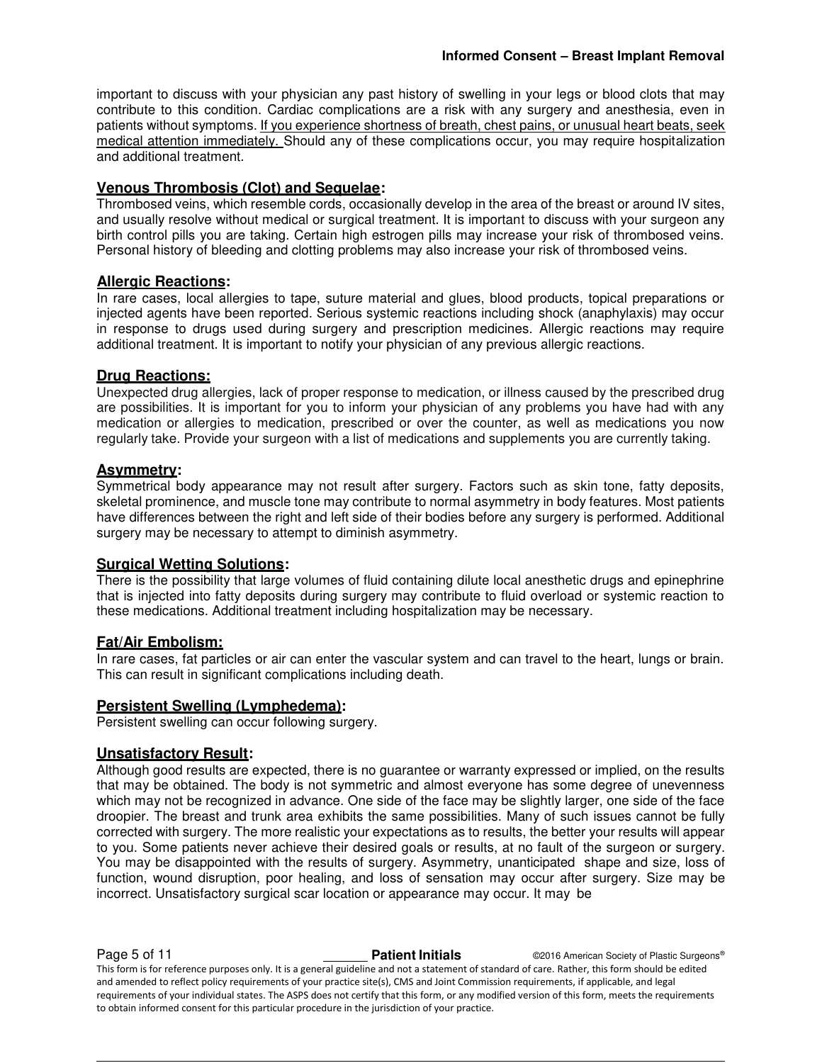important to discuss with your physician any past history of swelling in your legs or blood clots that may contribute to this condition. Cardiac complications are a risk with any surgery and anesthesia, even in patients without symptoms. If you experience shortness of breath, chest pains, or unusual heart beats, seek medical attention immediately. Should any of these complications occur, you may require hospitalization and additional treatment.

# **Venous Thrombosis (Clot) and Sequelae:**

Thrombosed veins, which resemble cords, occasionally develop in the area of the breast or around IV sites, and usually resolve without medical or surgical treatment. It is important to discuss with your surgeon any birth control pills you are taking. Certain high estrogen pills may increase your risk of thrombosed veins. Personal history of bleeding and clotting problems may also increase your risk of thrombosed veins.

# **Allergic Reactions:**

In rare cases, local allergies to tape, suture material and glues, blood products, topical preparations or injected agents have been reported. Serious systemic reactions including shock (anaphylaxis) may occur in response to drugs used during surgery and prescription medicines. Allergic reactions may require additional treatment. It is important to notify your physician of any previous allergic reactions.

# **Drug Reactions:**

Unexpected drug allergies, lack of proper response to medication, or illness caused by the prescribed drug are possibilities. It is important for you to inform your physician of any problems you have had with any medication or allergies to medication, prescribed or over the counter, as well as medications you now regularly take. Provide your surgeon with a list of medications and supplements you are currently taking.

# **Asymmetry:**

Symmetrical body appearance may not result after surgery. Factors such as skin tone, fatty deposits, skeletal prominence, and muscle tone may contribute to normal asymmetry in body features. Most patients have differences between the right and left side of their bodies before any surgery is performed. Additional surgery may be necessary to attempt to diminish asymmetry.

# **Surgical Wetting Solutions:**

There is the possibility that large volumes of fluid containing dilute local anesthetic drugs and epinephrine that is injected into fatty deposits during surgery may contribute to fluid overload or systemic reaction to these medications. Additional treatment including hospitalization may be necessary.

#### **Fat/Air Embolism:**

In rare cases, fat particles or air can enter the vascular system and can travel to the heart, lungs or brain. This can result in significant complications including death.

#### **Persistent Swelling (Lymphedema):**

Persistent swelling can occur following surgery.

#### **Unsatisfactory Result:**

Although good results are expected, there is no guarantee or warranty expressed or implied, on the results that may be obtained. The body is not symmetric and almost everyone has some degree of unevenness which may not be recognized in advance. One side of the face may be slightly larger, one side of the face droopier. The breast and trunk area exhibits the same possibilities. Many of such issues cannot be fully corrected with surgery. The more realistic your expectations as to results, the better your results will appear to you. Some patients never achieve their desired goals or results, at no fault of the surgeon or surgery. You may be disappointed with the results of surgery. Asymmetry, unanticipated shape and size, loss of function, wound disruption, poor healing, and loss of sensation may occur after surgery. Size may be incorrect. Unsatisfactory surgical scar location or appearance may occur. It may be

**Page 5 of 11 Patient Initials CONFIDENT CONFIDENT CONFIDENT CONFIDENT** CONFIDENT CONFIDENT CONFIDENT CONFIDENT This form is for reference purposes only. It is a general guideline and not a statement of standard of care. Rather, this form should be edited and amended to reflect policy requirements of your practice site(s), CMS and Joint Commission requirements, if applicable, and legal requirements of your individual states. The ASPS does not certify that this form, or any modified version of this form, meets the requirements to obtain informed consent for this particular procedure in the jurisdiction of your practice.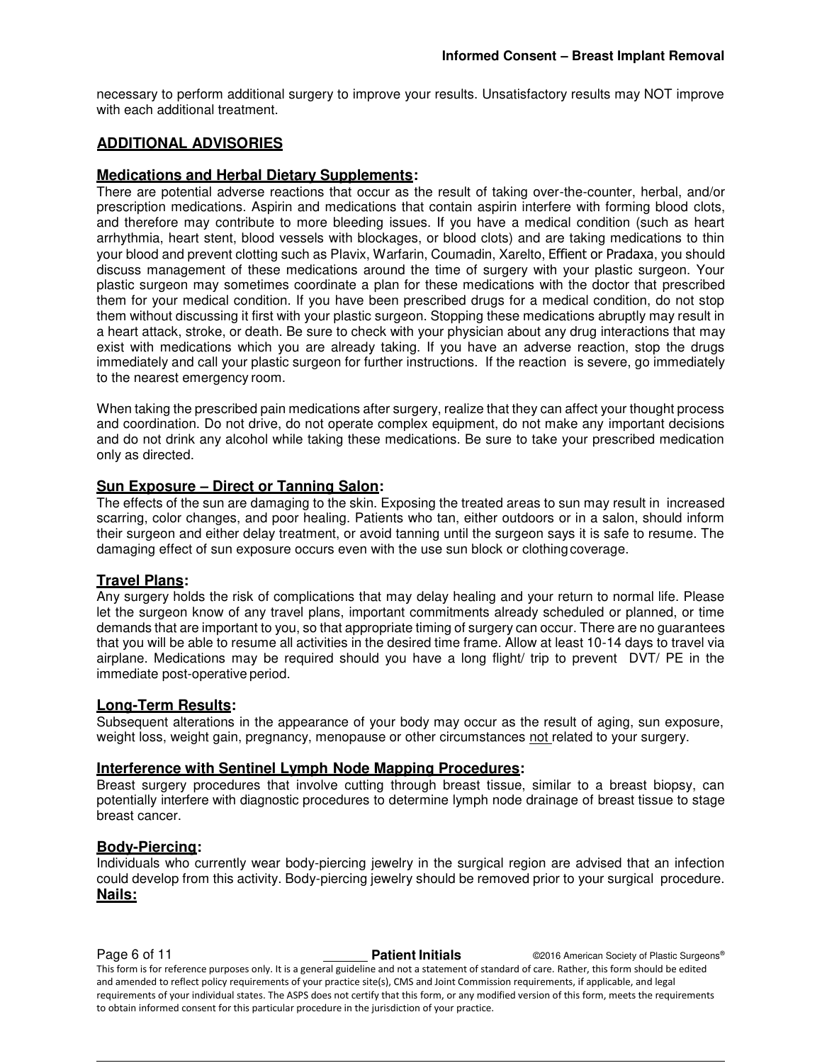necessary to perform additional surgery to improve your results. Unsatisfactory results may NOT improve with each additional treatment.

# **ADDITIONAL ADVISORIES**

#### **Medications and Herbal Dietary Supplements:**

There are potential adverse reactions that occur as the result of taking over-the-counter, herbal, and/or prescription medications. Aspirin and medications that contain aspirin interfere with forming blood clots, and therefore may contribute to more bleeding issues. If you have a medical condition (such as heart arrhythmia, heart stent, blood vessels with blockages, or blood clots) and are taking medications to thin your blood and prevent clotting such as Plavix, Warfarin, Coumadin, Xarelto, Effient or Pradaxa, you should discuss management of these medications around the time of surgery with your plastic surgeon. Your plastic surgeon may sometimes coordinate a plan for these medications with the doctor that prescribed them for your medical condition. If you have been prescribed drugs for a medical condition, do not stop them without discussing it first with your plastic surgeon. Stopping these medications abruptly may result in a heart attack, stroke, or death. Be sure to check with your physician about any drug interactions that may exist with medications which you are already taking. If you have an adverse reaction, stop the drugs immediately and call your plastic surgeon for further instructions. If the reaction is severe, go immediately to the nearest emergency room.

When taking the prescribed pain medications after surgery, realize that they can affect your thought process and coordination. Do not drive, do not operate complex equipment, do not make any important decisions and do not drink any alcohol while taking these medications. Be sure to take your prescribed medication only as directed.

#### **Sun Exposure – Direct or Tanning Salon:**

The effects of the sun are damaging to the skin. Exposing the treated areas to sun may result in increased scarring, color changes, and poor healing. Patients who tan, either outdoors or in a salon, should inform their surgeon and either delay treatment, or avoid tanning until the surgeon says it is safe to resume. The damaging effect of sun exposure occurs even with the use sun block or clothing coverage.

#### **Travel Plans:**

Any surgery holds the risk of complications that may delay healing and your return to normal life. Please let the surgeon know of any travel plans, important commitments already scheduled or planned, or time demands that are important to you, so that appropriate timing of surgery can occur. There are no guarantees that you will be able to resume all activities in the desired time frame. Allow at least 10-14 days to travel via airplane. Medications may be required should you have a long flight/ trip to prevent DVT/ PE in the immediate post-operative period.

#### **Long-Term Results:**

Subsequent alterations in the appearance of your body may occur as the result of aging, sun exposure, weight loss, weight gain, pregnancy, menopause or other circumstances not related to your surgery.

#### **Interference with Sentinel Lymph Node Mapping Procedures:**

Breast surgery procedures that involve cutting through breast tissue, similar to a breast biopsy, can potentially interfere with diagnostic procedures to determine lymph node drainage of breast tissue to stage breast cancer.

#### **Body-Piercing:**

Individuals who currently wear body-piercing jewelry in the surgical region are advised that an infection could develop from this activity. Body-piercing jewelry should be removed prior to your surgical procedure. **Nails:** 

**Page 6 of 11 Patient Initials Patient Initials** ©2016 American Society of Plastic Surgeons® This form is for reference purposes only. It is a general guideline and not a statement of standard of care. Rather, this form should be edited and amended to reflect policy requirements of your practice site(s), CMS and Joint Commission requirements, if applicable, and legal requirements of your individual states. The ASPS does not certify that this form, or any modified version of this form, meets the requirements to obtain informed consent for this particular procedure in the jurisdiction of your practice.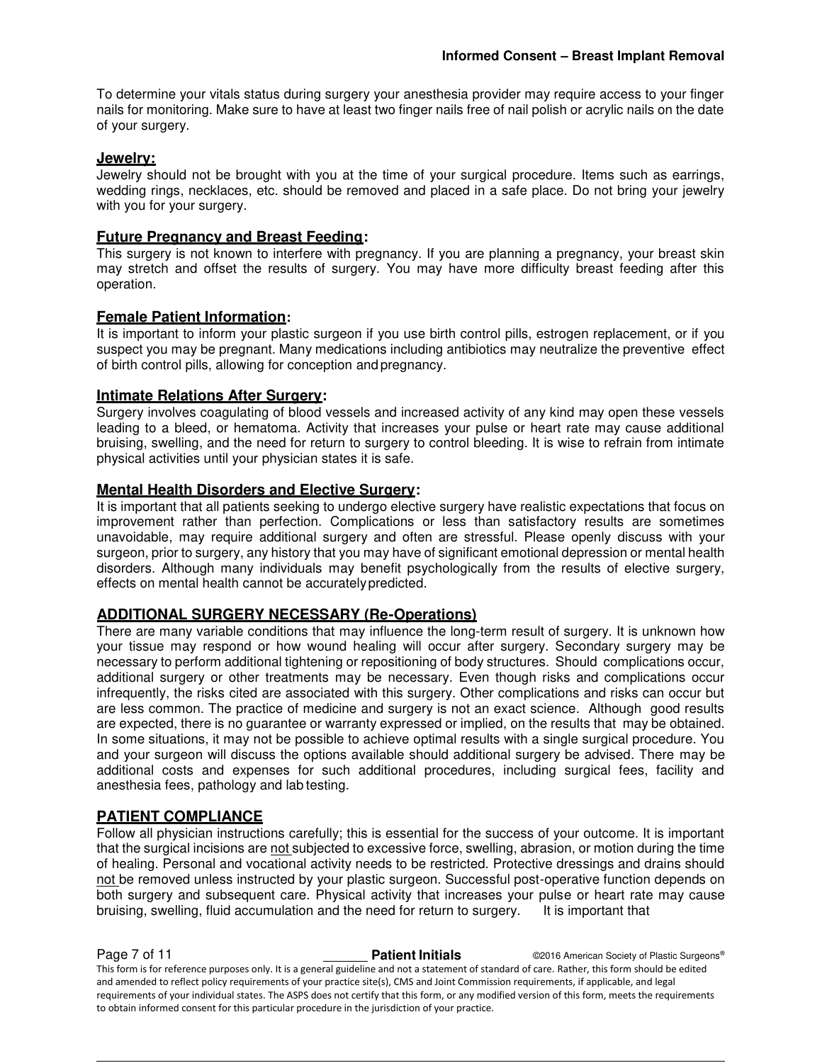To determine your vitals status during surgery your anesthesia provider may require access to your finger nails for monitoring. Make sure to have at least two finger nails free of nail polish or acrylic nails on the date of your surgery.

#### **Jewelry:**

Jewelry should not be brought with you at the time of your surgical procedure. Items such as earrings, wedding rings, necklaces, etc. should be removed and placed in a safe place. Do not bring your jewelry with you for your surgery.

## **Future Pregnancy and Breast Feeding:**

This surgery is not known to interfere with pregnancy. If you are planning a pregnancy, your breast skin may stretch and offset the results of surgery. You may have more difficulty breast feeding after this operation.

# **Female Patient Information:**

It is important to inform your plastic surgeon if you use birth control pills, estrogen replacement, or if you suspect you may be pregnant. Many medications including antibiotics may neutralize the preventive effect of birth control pills, allowing for conception and pregnancy.

#### **Intimate Relations After Surgery:**

Surgery involves coagulating of blood vessels and increased activity of any kind may open these vessels leading to a bleed, or hematoma. Activity that increases your pulse or heart rate may cause additional bruising, swelling, and the need for return to surgery to control bleeding. It is wise to refrain from intimate physical activities until your physician states it is safe.

#### **Mental Health Disorders and Elective Surgery:**

It is important that all patients seeking to undergo elective surgery have realistic expectations that focus on improvement rather than perfection. Complications or less than satisfactory results are sometimes unavoidable, may require additional surgery and often are stressful. Please openly discuss with your surgeon, prior to surgery, any history that you may have of significant emotional depression or mental health disorders. Although many individuals may benefit psychologically from the results of elective surgery, effects on mental health cannot be accurately predicted.

# **ADDITIONAL SURGERY NECESSARY (Re-Operations)**

There are many variable conditions that may influence the long-term result of surgery. It is unknown how your tissue may respond or how wound healing will occur after surgery. Secondary surgery may be necessary to perform additional tightening or repositioning of body structures. Should complications occur, additional surgery or other treatments may be necessary. Even though risks and complications occur infrequently, the risks cited are associated with this surgery. Other complications and risks can occur but are less common. The practice of medicine and surgery is not an exact science. Although good results are expected, there is no guarantee or warranty expressed or implied, on the results that may be obtained. In some situations, it may not be possible to achieve optimal results with a single surgical procedure. You and your surgeon will discuss the options available should additional surgery be advised. There may be additional costs and expenses for such additional procedures, including surgical fees, facility and anesthesia fees, pathology and lab testing.

#### **PATIENT COMPLIANCE**

Follow all physician instructions carefully; this is essential for the success of your outcome. It is important that the surgical incisions are not subjected to excessive force, swelling, abrasion, or motion during the time of healing. Personal and vocational activity needs to be restricted. Protective dressings and drains should not be removed unless instructed by your plastic surgeon. Successful post-operative function depends on both surgery and subsequent care. Physical activity that increases your pulse or heart rate may cause bruising, swelling, fluid accumulation and the need for return to surgery. It is important that

**Page 7 of 11 Patient Initials Patient Initials** ©2016 American Society of Plastic Surgeons® This form is for reference purposes only. It is a general guideline and not a statement of standard of care. Rather, this form should be edited and amended to reflect policy requirements of your practice site(s), CMS and Joint Commission requirements, if applicable, and legal requirements of your individual states. The ASPS does not certify that this form, or any modified version of this form, meets the requirements to obtain informed consent for this particular procedure in the jurisdiction of your practice.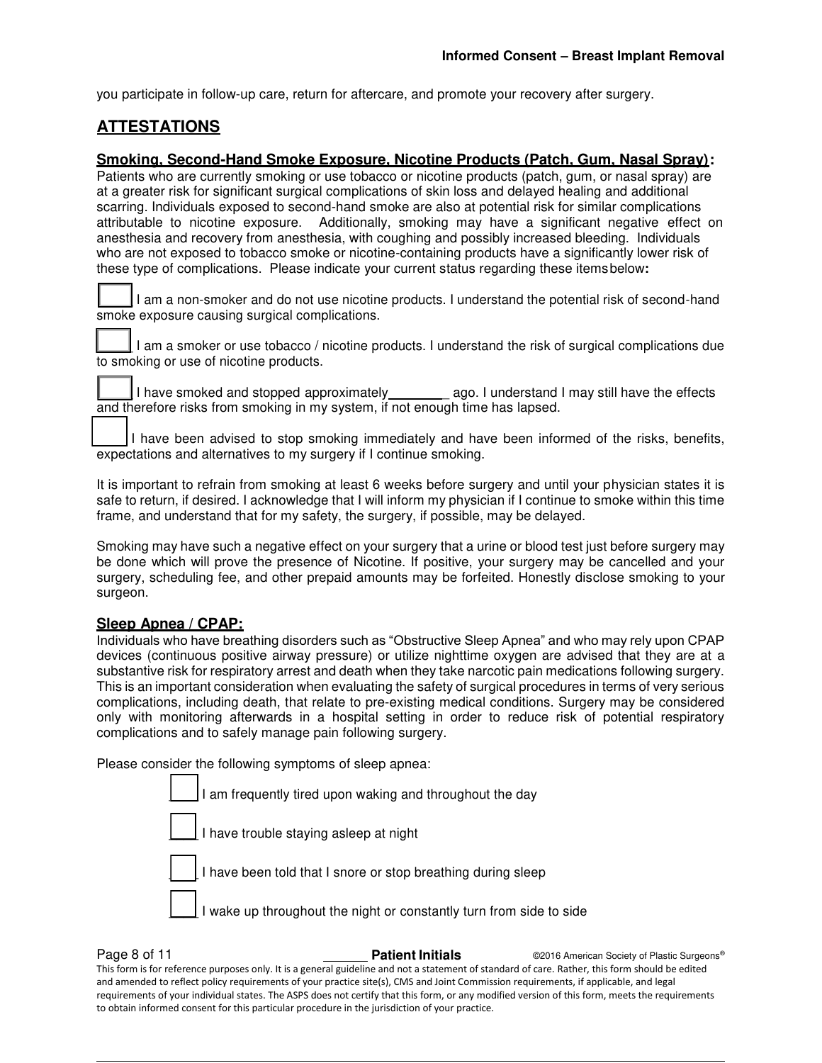you participate in follow-up care, return for aftercare, and promote your recovery after surgery.

# **ATTESTATIONS**

# **Smoking, Second-Hand Smoke Exposure, Nicotine Products (Patch, Gum, Nasal Spray):**

Patients who are currently smoking or use tobacco or nicotine products (patch, gum, or nasal spray) are at a greater risk for significant surgical complications of skin loss and delayed healing and additional scarring. Individuals exposed to second-hand smoke are also at potential risk for similar complications attributable to nicotine exposure. Additionally, smoking may have a significant negative effect on anesthesia and recovery from anesthesia, with coughing and possibly increased bleeding. Individuals who are not exposed to tobacco smoke or nicotine-containing products have a significantly lower risk of these type of complications. Please indicate your current status regarding these items below**:** 

I am a non-smoker and do not use nicotine products. I understand the potential risk of second-hand smoke exposure causing surgical complications.

I am a smoker or use tobacco / nicotine products. I understand the risk of surgical complications due to smoking or use of nicotine products.

I have smoked and stopped approximately ago. I understand I may still have the effects and therefore risks from smoking in my system, if not enough time has lapsed.

I have been advised to stop smoking immediately and have been informed of the risks, benefits, expectations and alternatives to my surgery if I continue smoking.

It is important to refrain from smoking at least 6 weeks before surgery and until your physician states it is safe to return, if desired. I acknowledge that I will inform my physician if I continue to smoke within this time frame, and understand that for my safety, the surgery, if possible, may be delayed.

Smoking may have such a negative effect on your surgery that a urine or blood test just before surgery may be done which will prove the presence of Nicotine. If positive, your surgery may be cancelled and your surgery, scheduling fee, and other prepaid amounts may be forfeited. Honestly disclose smoking to your surgeon.

# **Sleep Apnea / CPAP:**

Individuals who have breathing disorders such as "Obstructive Sleep Apnea" and who may rely upon CPAP devices (continuous positive airway pressure) or utilize nighttime oxygen are advised that they are at a substantive risk for respiratory arrest and death when they take narcotic pain medications following surgery. This is an important consideration when evaluating the safety of surgical procedures in terms of very serious complications, including death, that relate to pre-existing medical conditions. Surgery may be considered only with monitoring afterwards in a hospital setting in order to reduce risk of potential respiratory complications and to safely manage pain following surgery.

Please consider the following symptoms of sleep apnea:

| I am frequently tired upon waking and throughout the day            |
|---------------------------------------------------------------------|
| I have trouble staying asleep at night                              |
| I have been told that I snore or stop breathing during sleep        |
| I wake up throughout the night or constantly turn from side to side |

**Page 8 of 11 Patient Initials CONFIDENT CONFIDENT CONFIDENT Patient Initials CONFIDENT CONFIDENT CONFIDENT** This form is for reference purposes only. It is a general guideline and not a statement of standard of care. Rather, this form should be edited and amended to reflect policy requirements of your practice site(s), CMS and Joint Commission requirements, if applicable, and legal requirements of your individual states. The ASPS does not certify that this form, or any modified version of this form, meets the requirements to obtain informed consent for this particular procedure in the jurisdiction of your practice.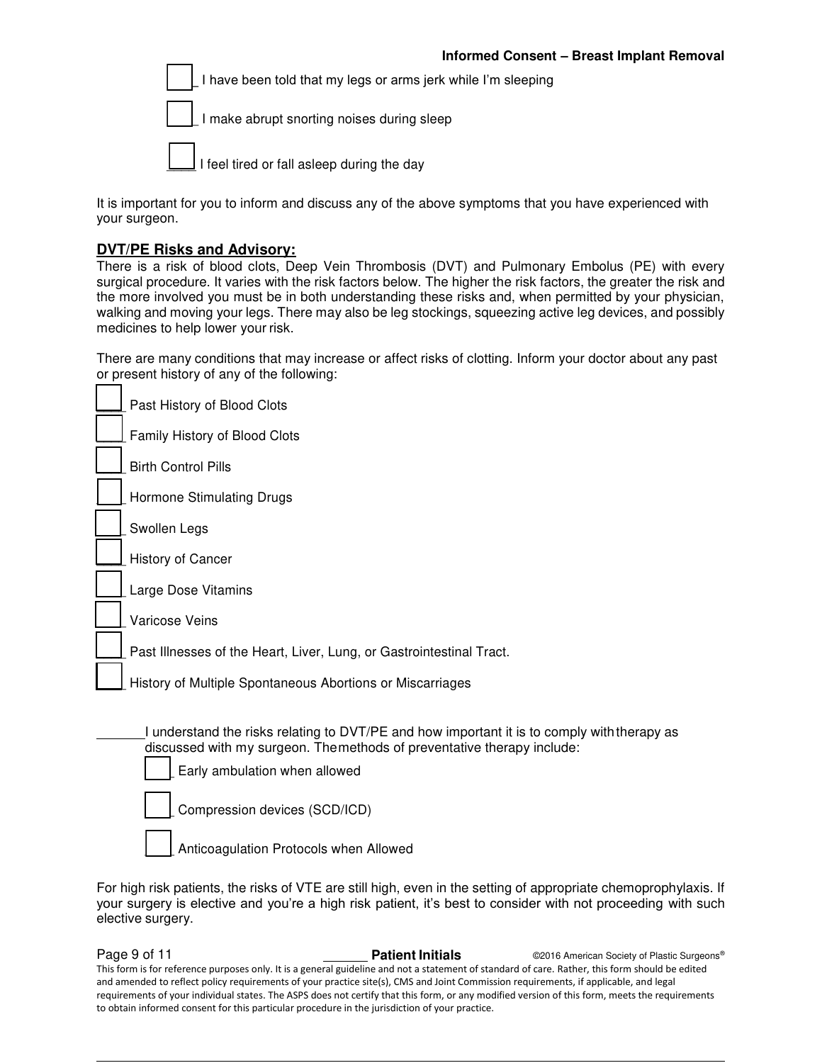I have been told that my legs or arms jerk while I'm sleeping



I make abrupt snorting noises during sleep



I feel tired or fall asleep during the day

It is important for you to inform and discuss any of the above symptoms that you have experienced with your surgeon.

#### **DVT/PE Risks and Advisory:**

There is a risk of blood clots, Deep Vein Thrombosis (DVT) and Pulmonary Embolus (PE) with every surgical procedure. It varies with the risk factors below. The higher the risk factors, the greater the risk and the more involved you must be in both understanding these risks and, when permitted by your physician, walking and moving your legs. There may also be leg stockings, squeezing active leg devices, and possibly medicines to help lower your risk.

There are many conditions that may increase or affect risks of clotting. Inform your doctor about any past or present history of any of the following:

| Past History of Blood Clots                                                                                                                                                                                                                                                       |
|-----------------------------------------------------------------------------------------------------------------------------------------------------------------------------------------------------------------------------------------------------------------------------------|
| Family History of Blood Clots                                                                                                                                                                                                                                                     |
| <b>Birth Control Pills</b>                                                                                                                                                                                                                                                        |
| Hormone Stimulating Drugs                                                                                                                                                                                                                                                         |
| Swollen Legs                                                                                                                                                                                                                                                                      |
| History of Cancer                                                                                                                                                                                                                                                                 |
| Large Dose Vitamins                                                                                                                                                                                                                                                               |
| Varicose Veins                                                                                                                                                                                                                                                                    |
| Past Illnesses of the Heart, Liver, Lung, or Gastrointestinal Tract.                                                                                                                                                                                                              |
| History of Multiple Spontaneous Abortions or Miscarriages                                                                                                                                                                                                                         |
| I understand the risks relating to DVT/PE and how important it is to comply with therapy as<br>discussed with my surgeon. Themethods of preventative therapy include:<br>Early ambulation when allowed<br>Compression devices (SCD/ICD)<br>Anticoagulation Protocols when Allowed |

For high risk patients, the risks of VTE are still high, even in the setting of appropriate chemoprophylaxis. If your surgery is elective and you're a high risk patient, it's best to consider with not proceeding with such elective surgery.

**Page 9 of 11 Patient Initials Patient Initials CALC CONFIDENT CONFIDENT Patient Initials CONFIDENT CONFIDENT** This form is for reference purposes only. It is a general guideline and not a statement of standard of care. Rather, this form should be edited and amended to reflect policy requirements of your practice site(s), CMS and Joint Commission requirements, if applicable, and legal requirements of your individual states. The ASPS does not certify that this form, or any modified version of this form, meets the requirements to obtain informed consent for this particular procedure in the jurisdiction of your practice.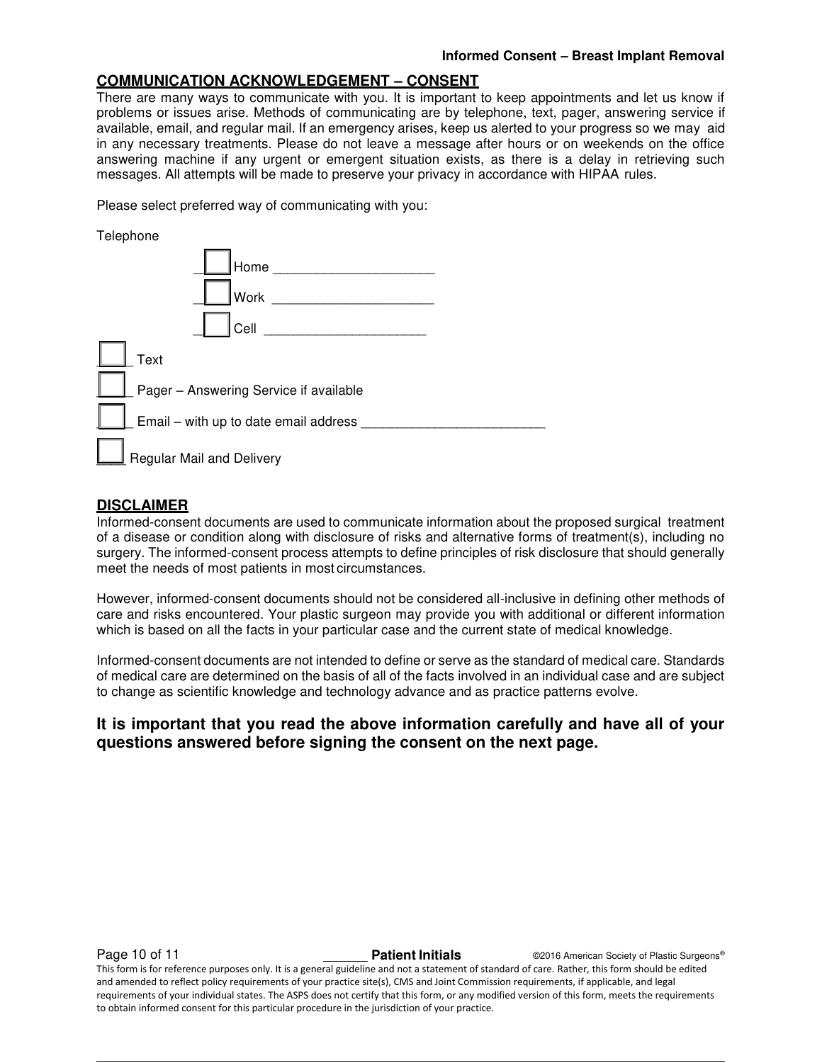# **COMMUNICATION ACKNOWLEDGEMENT – CONSENT**

There are many ways to communicate with you. It is important to keep appointments and let us know if problems or issues arise. Methods of communicating are by telephone, text, pager, answering service if available, email, and regular mail. If an emergency arises, keep us alerted to your progress so we may aid in any necessary treatments. Please do not leave a message after hours or on weekends on the office answering machine if any urgent or emergent situation exists, as there is a delay in retrieving such messages. All attempts will be made to preserve your privacy in accordance with HIPAA rules.

Please select preferred way of communicating with you:

| Telephone                               |  |
|-----------------------------------------|--|
| Home                                    |  |
| Work                                    |  |
| Cell                                    |  |
| Text                                    |  |
| Pager - Answering Service if available  |  |
| Email - with up to date email address _ |  |
| Regular Mail and Delivery               |  |

## **DISCLAIMER**

Informed-consent documents are used to communicate information about the proposed surgical treatment of a disease or condition along with disclosure of risks and alternative forms of treatment(s), including no surgery. The informed-consent process attempts to define principles of risk disclosure that should generally meet the needs of most patients in most circumstances.

However, informed-consent documents should not be considered all-inclusive in defining other methods of care and risks encountered. Your plastic surgeon may provide you with additional or different information which is based on all the facts in your particular case and the current state of medical knowledge.

Informed-consent documents are not intended to define or serve as the standard of medical care. Standards of medical care are determined on the basis of all of the facts involved in an individual case and are subject to change as scientific knowledge and technology advance and as practice patterns evolve.

# **It is important that you read the above information carefully and have all of your questions answered before signing the consent on the next page.**

**Page 10 of 11 Patient Initials CONFIDENT CONFIDENT CONFIDENT CONFIDENT** CONFIDENT CONFIDENT CONFIDENT CONFIDENT This form is for reference purposes only. It is a general guideline and not a statement of standard of care. Rather, this form should be edited and amended to reflect policy requirements of your practice site(s), CMS and Joint Commission requirements, if applicable, and legal requirements of your individual states. The ASPS does not certify that this form, or any modified version of this form, meets the requirements to obtain informed consent for this particular procedure in the jurisdiction of your practice.